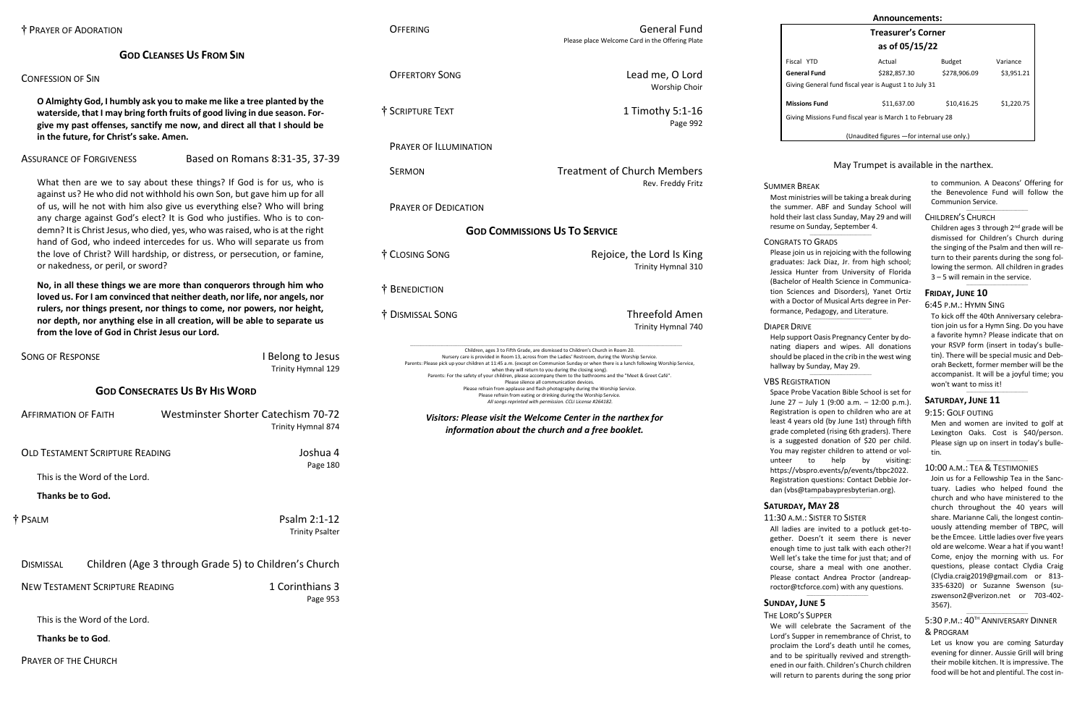## **GOD CLEANSES US FROM SIN**

## CONFESSION OF SIN

**O Almighty God, I humbly ask you to make me like a tree planted by the waterside, that I may bring forth fruits of good living in due season. Forgive my past offenses, sanctify me now, and direct all that I should be in the future, for Christ's sake. Amen.**

# ASSURANCE OF FORGIVENESS Based on Romans 8:31-35, 37-39

What then are we to say about these things? If God is for us, who is against us? He who did not withhold his own Son, but gave him up for all of us, will he not with him also give us everything else? Who will bring any charge against God's elect? It is God who justifies. Who is to condemn? It is Christ Jesus, who died, yes, who was raised, who is at the right hand of God, who indeed intercedes for us. Who will separate us from the love of Christ? Will hardship, or distress, or persecution, or famine, or nakedness, or peril, or sword?

**No, in all these things we are more than conquerors through him who loved us. For I am convinced that neither death, nor life, nor angels, nor rulers, nor things present, nor things to come, nor powers, nor height, nor depth, nor anything else in all creation, will be able to separate us from the love of God in Christ Jesus our Lord.** 

| <b>SONG OF RESPONSE</b>                | I Belong to Jesus<br>Trinity Hymnal 129                   |
|----------------------------------------|-----------------------------------------------------------|
|                                        | <b>GOD CONSECRATES US BY HIS WORD</b>                     |
| <b>AFFIRMATION OF FAITH</b>            | Westminster Shorter Catechism 70-72<br>Trinity Hymnal 874 |
| <b>OLD TESTAMENT SCRIPTURE READING</b> | Joshua 4                                                  |
| This is the Word of the Lord.          | Page 180                                                  |
| <b>Thanks be to God.</b>               |                                                           |
| † Psalm                                | Psalm 2:1-12<br><b>Trinity Psalter</b>                    |
| <b>DISMISSAL</b>                       | Children (Age 3 through Grade 5) to Children's Church     |
| <b>NEW TESTAMENT SCRIPTURE READING</b> | 1 Corinthians 3<br>Page 953                               |
| This is the Word of the Lord.          |                                                           |
| <b>Thanks be to God.</b>               |                                                           |

OFFERING General Fund Please place Welcome Card in the Offering Plate

OFFERTORY SONG Lead me, O Lord Worship Choir

† SCRIPTURE TEXT 1 Timothy 5:1-16 Page 992

PRAYER OF ILLUMINATION

SERMON Treatment of Church Members Rev. Freddy Fritz

> Children ages 3 through 2<sup>nd</sup> grade will be dismissed for Children's Church during the singing of the Psalm and then will return to their parents during the song following the sermon. All children in grades 3 – 5 will remain in the service.

> > $\_$

PRAYER OF DEDICATION

## **GOD COMMISSIONS US TO SERVICE**

† CLOSING SONG Rejoice, the Lord Is King

Trinity Hymnal 310

† BENEDICTION

† DISMISSAL SONG Threefold Amen

Trinity Hymnal 740

\_\_\_\_\_\_\_\_\_\_\_\_\_\_\_\_\_\_\_\_\_\_\_\_\_\_\_\_\_\_\_\_\_\_\_\_\_\_\_\_\_\_\_\_\_\_\_\_\_\_\_\_\_\_\_\_\_\_\_\_\_\_\_\_\_\_\_\_\_\_\_\_\_\_\_\_\_\_\_\_\_\_\_\_\_\_\_\_\_\_\_\_\_\_\_\_\_\_\_\_\_\_\_\_\_\_\_\_\_\_\_\_\_\_\_\_\_\_\_\_\_\_\_\_\_\_\_\_\_\_\_\_\_\_\_\_\_\_\_\_\_\_\_\_\_\_\_\_\_\_\_\_\_\_ Children, ages 3 to Fifth Grade, are dismissed to Children's Church in Room 20. Nursery care is provided in Room 13, across from the Ladies' Restroom, during the Worship Service. Parents: Please pick up your children at 11:45 a.m. (except on Communion Sunday or when there is a lunch following Worship Service, when they will return to you during the closing song). Parents: For the safety of your children, please accompany them to the bathrooms and the "Meet & Greet Café". Please silence all communication devices. Please refrain from applause and flash photography during the Worship Service. Please refrain from eating or drinking during the Worship Service. *All songs reprinted with permission. CCLI License #264182.*

Help support Oasis Pregnancy Center by donating diapers and wipes. All donations should be placed in the crib in the west wing hallway by Sunday, May 29.  $\_$ 

*Visitors: Please visit the Welcome Center in the narthex for information about the church and a free booklet.*

| Announcements:                                             |                                              |               |            |  |  |  |
|------------------------------------------------------------|----------------------------------------------|---------------|------------|--|--|--|
| <b>Treasurer's Corner</b>                                  |                                              |               |            |  |  |  |
| as of 05/15/22                                             |                                              |               |            |  |  |  |
| Fiscal YTD                                                 | Actual                                       | <b>Budget</b> | Variance   |  |  |  |
| General Fund                                               | \$282.857.30                                 | \$278.906.09  | \$3,951.21 |  |  |  |
| Giving General fund fiscal year is August 1 to July 31     |                                              |               |            |  |  |  |
| <b>Missions Fund</b>                                       | \$11,637.00                                  | \$10.416.25   | \$1,220.75 |  |  |  |
| Giving Missions Fund fiscal year is March 1 to February 28 |                                              |               |            |  |  |  |
|                                                            | (Unaudited figures - for internal use only.) |               |            |  |  |  |

## May Trumpet is available in the narthex.

to communion. A Deacons' Offering for the Benevolence Fund will follow the Communion Service.

\_\_\_\_\_\_\_\_\_\_\_\_\_\_\_\_\_\_\_\_\_\_\_\_\_\_\_\_\_\_\_\_\_\_\_

#### CHILDREN'S CHURCH

## **FRIDAY, JUNE 10**

#### 6:45 P.M.: HYMN SING

To kick off the 40th Anniversary celebration join us for a Hymn Sing. Do you have a favorite hymn? Please indicate that on your RSVP form (insert in today's bulletin). There will be special music and Deborah Beckett, former member will be the accompanist. It will be a joyful time; you won't want to miss it!

\_\_\_\_\_\_\_\_\_\_\_\_\_\_\_\_\_\_\_\_\_\_\_\_\_\_\_\_\_\_\_\_\_\_\_

## **SATURDAY, JUNE 11**

#### 9:15: GOLF OUTING

Men and women are invited to golf at Lexington Oaks. Cost is \$40/person. Please sign up on insert in today's bulletin.

 $\_$ 

#### 10:00 A.M.: TEA & TESTIMONIES

Join us for a Fellowship Tea in the Sanctuary. Ladies who helped found the church and who have ministered to the church throughout the 40 years will share. Marianne Cali, the longest continuously attending member of TBPC, will be the Emcee. Little ladies over five years old are welcome. Wear a hat if you want! Come, enjoy the morning with us. For questions, please contact Clydia Craig [\(Clydia.craig2019@gmail.com](mailto:Clydia.craig2019@gmail.com) or 813- 335-6320) or Suzanne Swenson (suzswenson2@verizon.net or 703-402- 3567).

#### \_\_\_\_\_\_\_\_\_\_\_\_\_\_\_\_\_\_\_\_\_\_\_\_\_\_\_\_\_\_\_\_\_\_\_ 5:30 p.m.: 40<sup>th</sup> Anniversary Dinner & PROGRAM

Let us know you are coming Saturday evening for dinner. Aussie Grill will bring their mobile kitchen. It is impressive. The food will be hot and plentiful. The cost in-

#### SUMMER BREAK

Most ministries will be taking a break during the summer. ABF and Sunday School will hold their last class Sunday, May 29 and will resume on Sunday, September 4.

\_\_\_\_\_\_\_\_\_\_\_\_\_\_\_\_\_\_\_\_\_\_\_\_\_\_\_\_\_\_\_\_\_\_\_

#### CONGRATS TO GRADS

Please join us in rejoicing with the following graduates: Jack Diaz, Jr. from high school; Jessica Hunter from University of Florida (Bachelor of Health Science in Communication Sciences and Disorders), Yanet Ortiz with a Doctor of Musical Arts degree in Performance, Pedagogy, and Literature. \_\_\_\_\_\_\_\_\_\_\_\_\_\_\_\_\_\_\_\_\_\_\_\_\_\_\_\_\_\_\_\_\_\_\_

DIAPER DRIVE

#### VBS REGISTRATION

Space Probe Vacation Bible School is set for June 27 – July 1 (9:00 a.m. – 12:00 p.m.). Registration is open to children who are at least 4 years old (by June 1st) through fifth grade completed (rising 6th graders). There is a suggested donation of \$20 per child. You may register children to attend or volunteer to help by visiting: [https://vbspro.events/p/events/tbpc2022.](https://vbspro.events/p/events/tbpc2022) Registration questions: Contact Debbie Jordan [\(vbs@tampabaypresbyterian.org\)](mailto:vbs@tampabaypresbyterian.org).

## **SATURDAY, MAY 28**

11:30 A.M.: SISTER TO SISTER All ladies are invited to a potluck get-together. Doesn't it seem there is never enough time to just talk with each other?! Well let's take the time for just that; and of course, share a meal with one another. Please contact Andrea Proctor [\(andreap](mailto:andreaproctor@tcforce.com)[roctor@tcforce.com\)](mailto:andreaproctor@tcforce.com) with any questions.

 $\_$ 

# **SUNDAY, JUNE 5**

THE LORD'S SUPPER We will celebrate the Sacrament of the Lord's Supper in remembrance of Christ, to proclaim the Lord's death until he comes, and to be spiritually revived and strengthened in our faith. Children's Church children will return to parents during the song prior

 $\_$